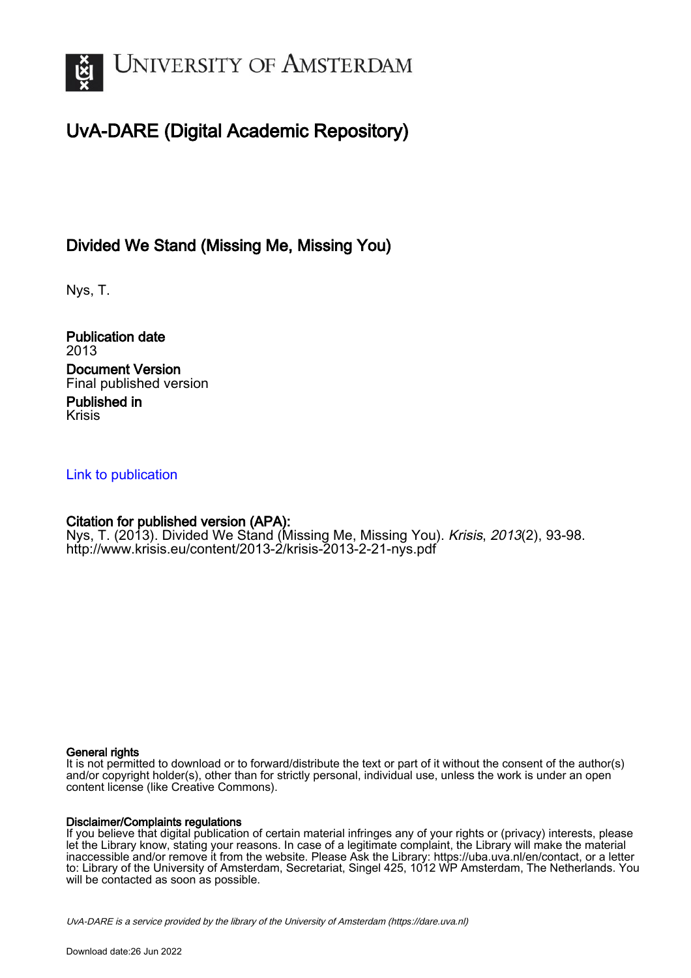

### UvA-DARE (Digital Academic Repository)

#### Divided We Stand (Missing Me, Missing You)

Nys, T.

Publication date 2013 Document Version Final published version Published in

Krisis

#### [Link to publication](https://dare.uva.nl/personal/pure/en/publications/divided-we-stand-missing-me-missing-you(0e0ae75b-22ef-47bd-bb4a-d9bfb08f9582).html)

#### Citation for published version (APA):

Nys, T. (2013). Divided We Stand (Missing Me, Missing You). *Krisis, 2013*(2), 93-98. <http://www.krisis.eu/content/2013-2/krisis-2013-2-21-nys.pdf>

#### General rights

It is not permitted to download or to forward/distribute the text or part of it without the consent of the author(s) and/or copyright holder(s), other than for strictly personal, individual use, unless the work is under an open content license (like Creative Commons).

#### Disclaimer/Complaints regulations

If you believe that digital publication of certain material infringes any of your rights or (privacy) interests, please let the Library know, stating your reasons. In case of a legitimate complaint, the Library will make the material inaccessible and/or remove it from the website. Please Ask the Library: https://uba.uva.nl/en/contact, or a letter to: Library of the University of Amsterdam, Secretariat, Singel 425, 1012 WP Amsterdam, The Netherlands. You will be contacted as soon as possible.

UvA-DARE is a service provided by the library of the University of Amsterdam (http*s*://dare.uva.nl)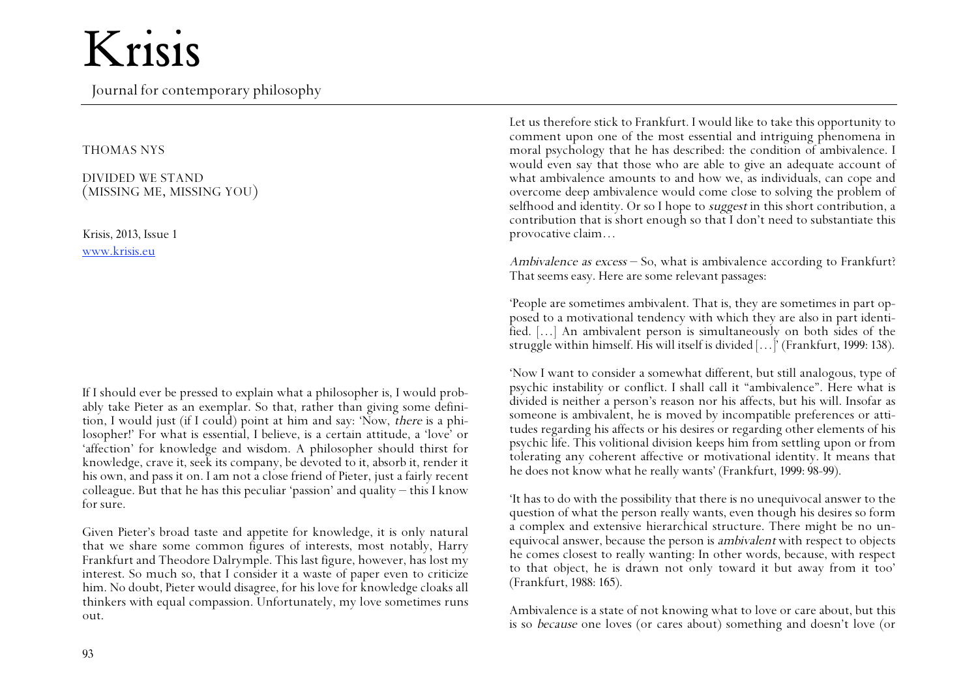Journal for contemporary philosophy

#### THOMAS NYS

DIVIDED WE STAND (MISSING ME, MISSING YOU)

Krisis, 2013, Issue 1 www.krisis.eu

If I should ever be pressed to explain what a philosopher is, I would probably take Pieter as an exemplar. So that, rather than giving some definition, I would just (if I could) point at him and say: 'Now, there is a philosopher!' For what is essential, I believe, is a certain attitude, a 'love' or 'affection' for knowledge and wisdom. A philosopher should thirst for knowledge, crave it, seek its company, be devoted to it, absorb it, render it his own, and pass it on. I am not a close friend of Pieter, just a fairly recent colleague. But that he has this peculiar 'passion' and quality – this I know for sure.

Given Pieter's broad taste and appetite for knowledge, it is only natural that we share some common figures of interests, most notably, Harry Frankfurt and Theodore Dalrymple. This last figure, however, has lost my interest. So much so, that I consider it a waste of paper even to criticize him. No doubt, Pieter would disagree, for his love for knowledge cloaks all thinkers with equal compassion. Unfortunately, my love sometimes runs out.

Let us therefore stick to Frankfurt. I would like to take this opportunity to comment upon one of the most essential and intriguing phenomena in moral psychology that he has described: the condition of ambivalence. I would even say that those who are able to give an adequate account of what ambivalence amounts to and how we, as individuals, can cope and overcome deep ambivalence would come close to solving the problem of selfhood and identity. Or so I hope to *suggest* in this short contribution, a contribution that is short enough so that I don't need to substantiate this provocative claim…

Ambivalence as excess – So, what is ambivalence according to Frankfurt? That seems easy. Here are some relevant passages:

'People are sometimes ambivalent. That is, they are sometimes in part opposed to a motivational tendency with which they are also in part identified. […] An ambivalent person is simultaneously on both sides of the struggle within himself. His will itself is divided […]' (Frankfurt, 1999: 138).

'Now I want to consider a somewhat different, but still analogous, type of psychic instability or conflict. I shall call it "ambivalence". Here what is divided is neither a person's reason nor his affects, but his will. Insofar as someone is ambivalent, he is moved by incompatible preferences or attitudes regarding his affects or his desires or regarding other elements of his psychic life. This volitional division keeps him from settling upon or from tolerating any coherent affective or motivational identity. It means that he does not know what he really wants' (Frankfurt, 1999: 98-99).

'It has to do with the possibility that there is no unequivocal answer to the question of what the person really wants, even though his desires so form a complex and extensive hierarchical structure. There might be no unequivocal answer, because the person is ambivalent with respect to objects he comes closest to really wanting: In other words, because, with respect to that object, he is drawn not only toward it but away from it too' (Frankfurt, 1988: 165).

Ambivalence is a state of not knowing what to love or care about, but this is so because one loves (or cares about) something and doesn't love (or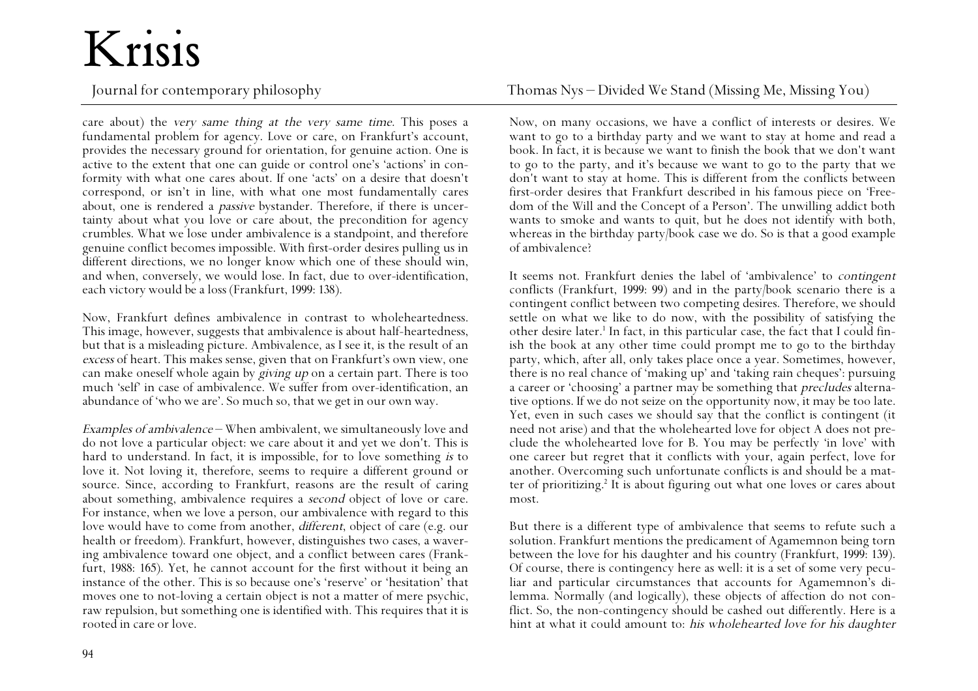care about) the very same thing at the very same time. This poses a fundamental problem for agency. Love or care, on Frankfurt's account, provides the necessary ground for orientation, for genuine action. One is active to the extent that one can guide or control one's 'actions' in conformity with what one cares about. If one 'acts' on a desire that doesn't correspond, or isn't in line, with what one most fundamentally cares about, one is rendered a *passive* bystander. Therefore, if there is uncertainty about what you love or care about, the precondition for agency crumbles. What we lose under ambivalence is a standpoint, and therefore genuine conflict becomes impossible. With first-order desires pulling us in different directions, we no longer know which one of these should win, and when, conversely, we would lose. In fact, due to over-identification, each victory would be a loss (Frankfurt, 1999: 138).

Now, Frankfurt defines ambivalence in contrast to wholeheartedness. This image, however, suggests that ambivalence is about half-heartedness, but that is a misleading picture. Ambivalence, as I see it, is the result of an excess of heart. This makes sense, given that on Frankfurt's own view, one can make oneself whole again by giving up on a certain part. There is too much 'self' in case of ambivalence. We suffer from over-identification, an abundance of 'who we are'. So much so, that we get in our own way.

Examples of ambivalence – When ambivalent, we simultaneously love and do not love a particular object: we care about it and yet we don't. This is hard to understand. In fact, it is impossible, for to love something is to love it. Not loving it, therefore, seems to require a different ground or source. Since, according to Frankfurt, reasons are the result of caring about something, ambivalence requires a second object of love or care. For instance, when we love a person, our ambivalence with regard to this love would have to come from another, different, object of care (e.g. our health or freedom). Frankfurt, however, distinguishes two cases, a wavering ambivalence toward one object, and a conflict between cares (Frankfurt, 1988: 165). Yet, he cannot account for the first without it being an instance of the other. This is so because one's 'reserve' or 'hesitation' that moves one to not-loving a certain object is not a matter of mere psychic, raw repulsion, but something one is identified with. This requires that it is rooted in care or love.

Journal for contemporary philosophy Thomas Nys – Divided We Stand (Missing Me, Missing You)

Now, on many occasions, we have a conflict of interests or desires. We want to go to a birthday party and we want to stay at home and read a book. In fact, it is because we want to finish the book that we don't want to go to the party, and it's because we want to go to the party that we don't want to stay at home. This is different from the conflicts between first-order desires that Frankfurt described in his famous piece on 'Freedom of the Will and the Concept of a Person'. The unwilling addict both wants to smoke and wants to quit, but he does not identify with both, whereas in the birthday party/book case we do. So is that a good example of ambivalence?

It seems not. Frankfurt denies the label of 'ambivalence' to contingent conflicts (Frankfurt, 1999: 99) and in the party/book scenario there is a contingent conflict between two competing desires. Therefore, we should settle on what we like to do now, with the possibility of satisfying the other desire later.<sup>1</sup> In fact, in this particular case, the fact that I could finish the book at any other time could prompt me to go to the birthday party, which, after all, only takes place once a year. Sometimes, however, there is no real chance of 'making up' and 'taking rain cheques': pursuing a career or 'choosing' a partner may be something that precludes alternative options. If we do not seize on the opportunity now, it may be too late. Yet, even in such cases we should say that the conflict is contingent (it need not arise) and that the wholehearted love for object A does not preclude the wholehearted love for B. You may be perfectly 'in love' with one career but regret that it conflicts with your, again perfect, love for another. Overcoming such unfortunate conflicts is and should be a matter of prioritizing.2 It is about figuring out what one loves or cares about most.

But there is a different type of ambivalence that seems to refute such a solution. Frankfurt mentions the predicament of Agamemnon being torn between the love for his daughter and his country (Frankfurt, 1999: 139). Of course, there is contingency here as well: it is a set of some very peculiar and particular circumstances that accounts for Agamemnon's dilemma. Normally (and logically), these objects of affection do not conflict. So, the non-contingency should be cashed out differently. Here is a hint at what it could amount to: his wholehearted love for his daughter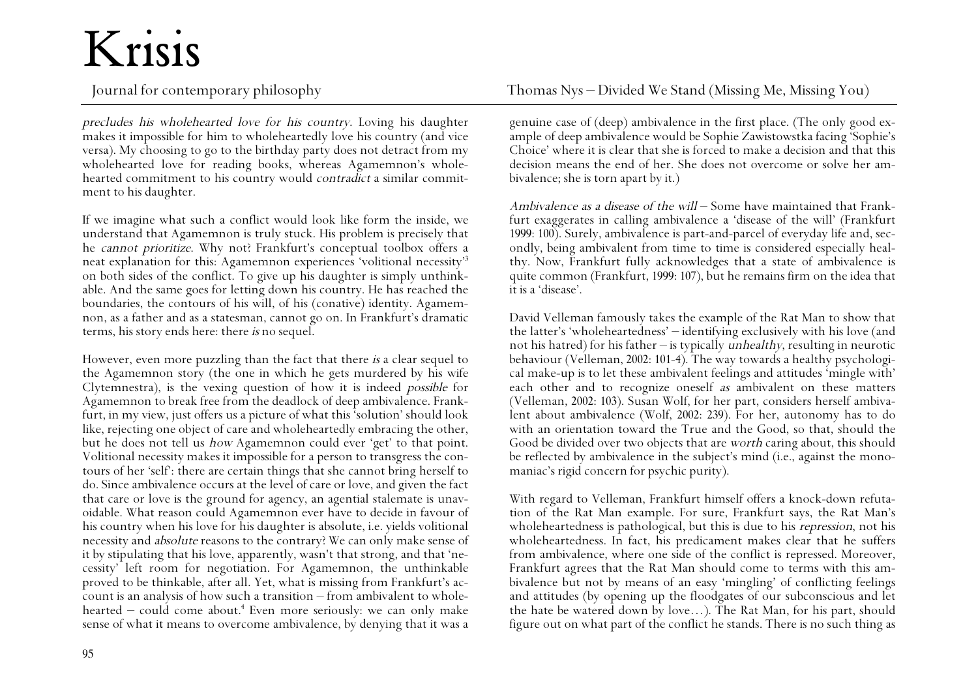precludes his wholehearted love for his country. Loving his daughter makes it impossible for him to wholeheartedly love his country (and vice versa). My choosing to go to the birthday party does not detract from my wholehearted love for reading books, whereas Agamemnon's wholehearted commitment to his country would *contradict* a similar commitment to his daughter.

If we imagine what such a conflict would look like form the inside, we understand that Agamemnon is truly stuck. His problem is precisely that he cannot prioritize. Why not? Frankfurt's conceptual toolbox offers a neat explanation for this: Agamemnon experiences 'volitional necessity'3 on both sides of the conflict. To give up his daughter is simply unthinkable. And the same goes for letting down his country. He has reached the boundaries, the contours of his will, of his (conative) identity. Agamemnon, as a father and as a statesman, cannot go on. In Frankfurt's dramatic terms, his story ends here: there is no sequel.

However, even more puzzling than the fact that there is a clear sequel to the Agamemnon story (the one in which he gets murdered by his wife Clytemnestra), is the vexing question of how it is indeed possible for Agamemnon to break free from the deadlock of deep ambivalence. Frankfurt, in my view, just offers us a picture of what this 'solution' should look like, rejecting one object of care and wholeheartedly embracing the other, but he does not tell us how Agamemnon could ever 'get' to that point. Volitional necessity makes it impossible for a person to transgress the contours of her 'self': there are certain things that she cannot bring herself to do. Since ambivalence occurs at the level of care or love, and given the fact that care or love is the ground for agency, an agential stalemate is unavoidable. What reason could Agamemnon ever have to decide in favour of his country when his love for his daughter is absolute, i.e. yields volitional necessity and absolute reasons to the contrary? We can only make sense of it by stipulating that his love, apparently, wasn't that strong, and that 'necessity' left room for negotiation. For Agamemnon, the unthinkable proved to be thinkable, after all. Yet, what is missing from Frankfurt's account is an analysis of how such a transition – from ambivalent to wholehearted – could come about.4 Even more seriously: we can only make sense of what it means to overcome ambivalence, by denying that it was a

genuine case of (deep) ambivalence in the first place. (The only good example of deep ambivalence would be Sophie Zawistowstka facing 'Sophie's Choice' where it is clear that she is forced to make a decision and that this decision means the end of her. She does not overcome or solve her ambivalence; she is torn apart by it.)

Ambivalence as a disease of the will – Some have maintained that Frankfurt exaggerates in calling ambivalence a 'disease of the will' (Frankfurt 1999: 100). Surely, ambivalence is part-and-parcel of everyday life and, secondly, being ambivalent from time to time is considered especially healthy. Now, Frankfurt fully acknowledges that a state of ambivalence is quite common (Frankfurt, 1999: 107), but he remains firm on the idea that it is a 'disease'.

David Velleman famously takes the example of the Rat Man to show that the latter's 'wholeheartedness' – identifying exclusively with his love (and not his hatred) for his father – is typically *unhealthy*, resulting in neurotic behaviour (Velleman, 2002: 101-4). The way towards a healthy psychological make-up is to let these ambivalent feelings and attitudes 'mingle with' each other and to recognize oneself as ambivalent on these matters (Velleman, 2002: 103). Susan Wolf, for her part, considers herself ambivalent about ambivalence (Wolf, 2002: 239). For her, autonomy has to do with an orientation toward the True and the Good, so that, should the Good be divided over two objects that are worth caring about, this should be reflected by ambivalence in the subject's mind (i.e., against the monomaniac's rigid concern for psychic purity).

With regard to Velleman, Frankfurt himself offers a knock-down refutation of the Rat Man example. For sure, Frankfurt says, the Rat Man's wholeheartedness is pathological, but this is due to his *repression*, not his wholeheartedness. In fact, his predicament makes clear that he suffers from ambivalence, where one side of the conflict is repressed. Moreover, Frankfurt agrees that the Rat Man should come to terms with this ambivalence but not by means of an easy 'mingling' of conflicting feelings and attitudes (by opening up the floodgates of our subconscious and let the hate be watered down by love…). The Rat Man, for his part, should figure out on what part of the conflict he stands. There is no such thing as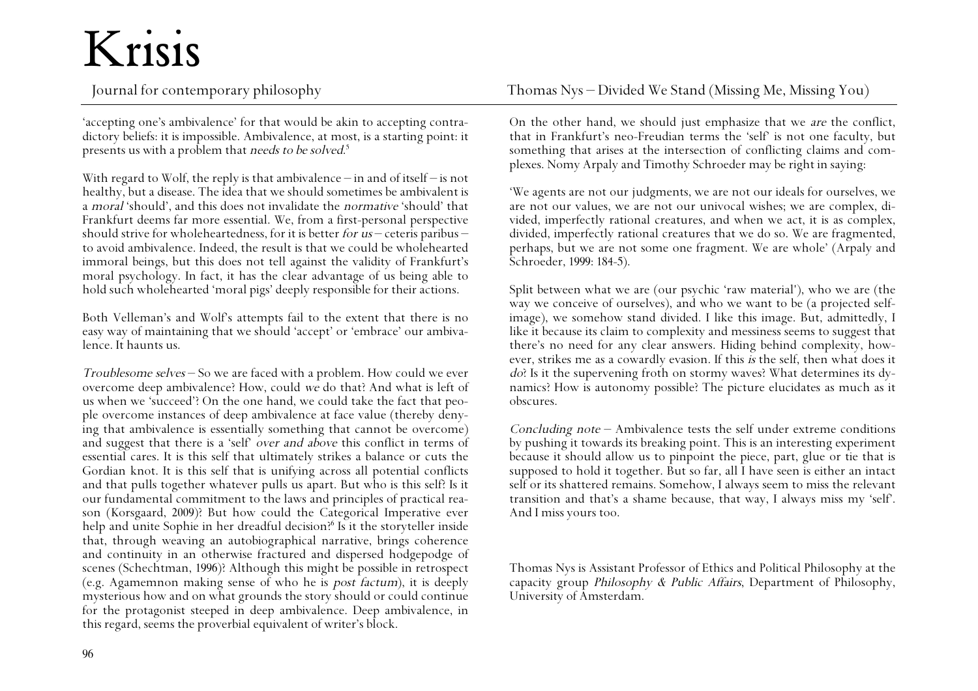'accepting one's ambivalence' for that would be akin to accepting contradictory beliefs: it is impossible. Ambivalence, at most, is a starting point: it presents us with a problem that *needs to be solved.*<sup>5</sup>

With regard to Wolf, the reply is that ambivalence – in and of itself – is not healthy, but a disease. The idea that we should sometimes be ambivalent is a moral 'should', and this does not invalidate the normative 'should' that Frankfurt deems far more essential. We, from a first-personal perspective should strive for wholeheartedness, for it is better *for us* – ceteris paribus – to avoid ambivalence. Indeed, the result is that we could be wholehearted immoral beings, but this does not tell against the validity of Frankfurt's moral psychology. In fact, it has the clear advantage of us being able to hold such wholehearted 'moral pigs' deeply responsible for their actions.

Both Velleman's and Wolf's attempts fail to the extent that there is no easy way of maintaining that we should 'accept' or 'embrace' our ambivalence. It haunts us.

Troublesome selves – So we are faced with a problem. How could we ever overcome deep ambivalence? How, could we do that? And what is left of us when we 'succeed'? On the one hand, we could take the fact that people overcome instances of deep ambivalence at face value (thereby denying that ambivalence is essentially something that cannot be overcome) and suggest that there is a 'self' over and above this conflict in terms of essential cares. It is this self that ultimately strikes a balance or cuts the Gordian knot. It is this self that is unifying across all potential conflicts and that pulls together whatever pulls us apart. But who is this self? Is it our fundamental commitment to the laws and principles of practical reason (Korsgaard, 2009)? But how could the Categorical Imperative ever help and unite Sophie in her dreadful decision?6 Is it the storyteller inside that, through weaving an autobiographical narrative, brings coherence and continuity in an otherwise fractured and dispersed hodgepodge of scenes (Schechtman, 1996)? Although this might be possible in retrospect (e.g. Agamemnon making sense of who he is post factum), it is deeply mysterious how and on what grounds the story should or could continue for the protagonist steeped in deep ambivalence. Deep ambivalence, in this regard, seems the proverbial equivalent of writer's block.

Journal for contemporary philosophy Thomas Nys – Divided We Stand (Missing Me, Missing You)

On the other hand, we should just emphasize that we are the conflict, that in Frankfurt's neo-Freudian terms the 'self' is not one faculty, but something that arises at the intersection of conflicting claims and complexes. Nomy Arpaly and Timothy Schroeder may be right in saying:

'We agents are not our judgments, we are not our ideals for ourselves, we are not our values, we are not our univocal wishes; we are complex, divided, imperfectly rational creatures, and when we act, it is as complex, divided, imperfectly rational creatures that we do so. We are fragmented, perhaps, but we are not some one fragment. We are whole' (Arpaly and Schroeder, 1999: 184-5).

Split between what we are (our psychic 'raw material'), who we are (the way we conceive of ourselves), and who we want to be (a projected selfimage), we somehow stand divided. I like this image. But, admittedly, I like it because its claim to complexity and messiness seems to suggest that there's no need for any clear answers. Hiding behind complexity, however, strikes me as a cowardly evasion. If this is the self, then what does it do? Is it the supervening froth on stormy waves? What determines its dynamics? How is autonomy possible? The picture elucidates as much as it obscures.

Concluding note  $-$  Ambivalence tests the self under extreme conditions by pushing it towards its breaking point. This is an interesting experiment because it should allow us to pinpoint the piece, part, glue or tie that is supposed to hold it together. But so far, all I have seen is either an intact self or its shattered remains. Somehow, I always seem to miss the relevant transition and that's a shame because, that way, I always miss my 'self'. And I miss yours too.

Thomas Nys is Assistant Professor of Ethics and Political Philosophy at the capacity group Philosophy & Public Affairs, Department of Philosophy, University of Amsterdam.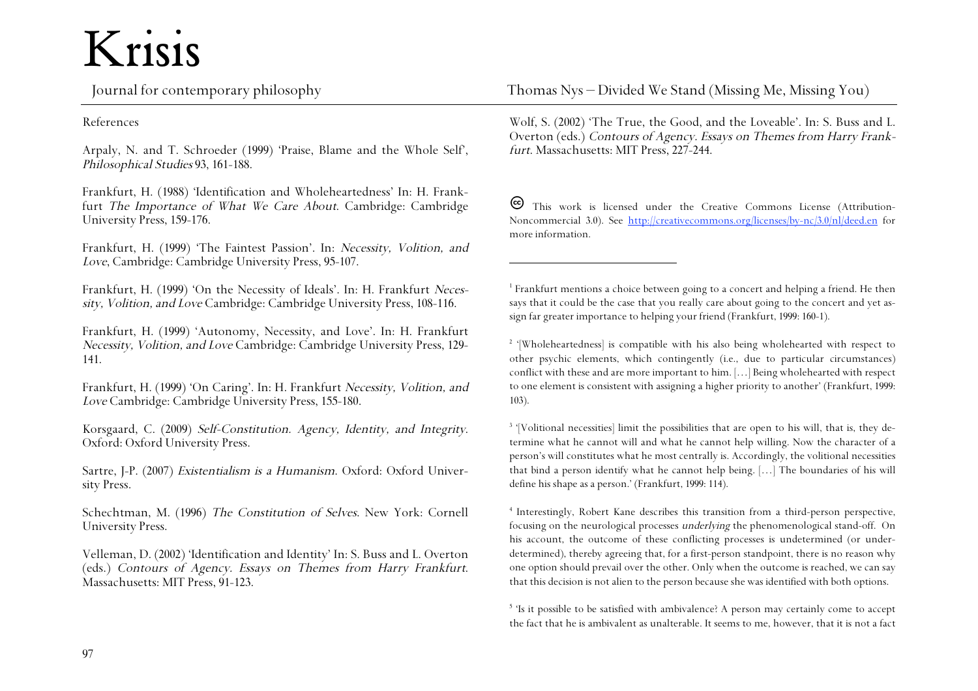## Krisis<br>Journal for contemporary philosophy

References

Arpaly, N. and T. Schroeder (1999) 'Praise, Blame and the Whole Self', Philosophical Studies 93, 161-188.

Frankfurt, H. (1988) 'Identification and Wholeheartedness' In: H. Frankfurt The Importance of What We Care About. Cambridge: Cambridge University Press, 159-176.

Frankfurt, H. (1999) 'The Faintest Passion'. In: Necessity, Volition, and Love, Cambridge: Cambridge University Press, 95-107.

Frankfurt, H. (1999) 'On the Necessity of Ideals'. In: H. Frankfurt Necessity, Volition, and Love Cambridge: Cambridge University Press, 108-116.

Frankfurt, H. (1999) 'Autonomy, Necessity, and Love'. In: H. Frankfurt Necessity, Volition, and Love Cambridge: Cambridge University Press, 129- 141.

Frankfurt, H. (1999) 'On Caring'. In: H. Frankfurt Necessity, Volition, and Love Cambridge: Cambridge University Press, 155-180.

Korsgaard, C. (2009) Self-Constitution. Agency, Identity, and Integrity. Oxford: Oxford University Press.

Sartre, J-P. (2007) Existentialism is a Humanism. Oxford: Oxford University Press.

Schechtman, M. (1996) The Constitution of Selves. New York: Cornell University Press.

Velleman, D. (2002) 'Identification and Identity' In: S. Buss and L. Overton (eds.) Contours of Agency. Essays on Themes from Harry Frankfurt. Massachusetts: MIT Press, 91-123. Thomas Nys – Divided We Stand (Missing Me, Missing You)

Wolf, S. (2002) 'The True, the Good, and the Loveable'. In: S. Buss and L. Overton (eds.) Contours of Agency. Essays on Themes from Harry Frankfurt. Massachusetts: MIT Press, 227-244.

This work is licensed under the Creative Commons License (Attribution-Noncommercial 3.0). See http://creativecommons.org/licenses/by-nc/3.0/nl/deed.en for more information.

1 Frankfurt mentions a choice between going to a concert and helping a friend. He then says that it could be the case that you really care about going to the concert and yet assign far greater importance to helping your friend (Frankfurt, 1999: 160-1).

 $\overline{a}$ 

2 '[Wholeheartedness] is compatible with his also being wholehearted with respect to other psychic elements, which contingently (i.e., due to particular circumstances) conflict with these and are more important to him. […] Being wholehearted with respect to one element is consistent with assigning a higher priority to another' (Frankfurt, 1999: 103).

<sup>3</sup> '[Volitional necessities] limit the possibilities that are open to his will, that is, they determine what he cannot will and what he cannot help willing. Now the character of a person's will constitutes what he most centrally is. Accordingly, the volitional necessities that bind a person identify what he cannot help being. […] The boundaries of his will define his shape as a person.' (Frankfurt, 1999: 114).

4 Interestingly, Robert Kane describes this transition from a third-person perspective, focusing on the neurological processes underlying the phenomenological stand-off. On his account, the outcome of these conflicting processes is undetermined (or underdetermined), thereby agreeing that, for a first-person standpoint, there is no reason why one option should prevail over the other. Only when the outcome is reached, we can say that this decision is not alien to the person because she was identified with both options.

5 'Is it possible to be satisfied with ambivalence? A person may certainly come to accept the fact that he is ambivalent as unalterable. It seems to me, however, that it is not a fact